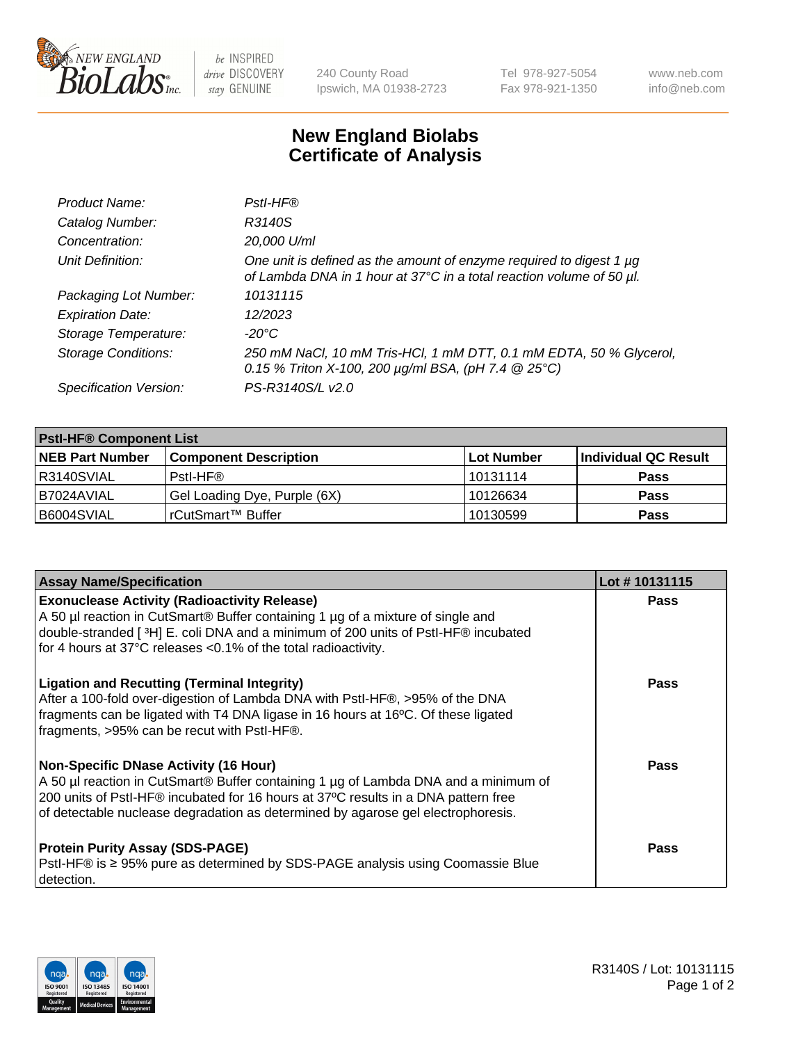

 $be$  INSPIRED drive DISCOVERY stay GENUINE

240 County Road Ipswich, MA 01938-2723 Tel 978-927-5054 Fax 978-921-1350 www.neb.com info@neb.com

## **New England Biolabs Certificate of Analysis**

| Product Name:              | Pstl-HF®                                                                                                                                             |
|----------------------------|------------------------------------------------------------------------------------------------------------------------------------------------------|
| Catalog Number:            | R3140S                                                                                                                                               |
| Concentration:             | 20,000 U/ml                                                                                                                                          |
| Unit Definition:           | One unit is defined as the amount of enzyme required to digest 1 µg<br>of Lambda DNA in 1 hour at 37°C in a total reaction volume of 50 µl.          |
| Packaging Lot Number:      | 10131115                                                                                                                                             |
| <b>Expiration Date:</b>    | 12/2023                                                                                                                                              |
| Storage Temperature:       | $-20^{\circ}$ C                                                                                                                                      |
| <b>Storage Conditions:</b> | 250 mM NaCl, 10 mM Tris-HCl, 1 mM DTT, 0.1 mM EDTA, 50 % Glycerol,<br>0.15 % Triton X-100, 200 $\mu$ g/ml BSA, (pH 7.4 $\textcircled{25}^{\circ}$ C) |
| Specification Version:     | PS-R3140S/L v2.0                                                                                                                                     |

| <b>Pstl-HF® Component List</b> |                              |                   |                      |  |
|--------------------------------|------------------------------|-------------------|----------------------|--|
| <b>NEB Part Number</b>         | <b>Component Description</b> | <b>Lot Number</b> | Individual QC Result |  |
| IR3140SVIAL                    | Pstl-HF®                     | 10131114          | <b>Pass</b>          |  |
| B7024AVIAL                     | Gel Loading Dye, Purple (6X) | 10126634          | <b>Pass</b>          |  |
| B6004SVIAL                     | l rCutSmart™ Buffer          | 10130599          | <b>Pass</b>          |  |

| <b>Assay Name/Specification</b>                                                                                                                                                                                                                                                                        | Lot #10131115 |
|--------------------------------------------------------------------------------------------------------------------------------------------------------------------------------------------------------------------------------------------------------------------------------------------------------|---------------|
| <b>Exonuclease Activity (Radioactivity Release)</b><br>A 50 µl reaction in CutSmart® Buffer containing 1 µg of a mixture of single and<br>double-stranded [3H] E. coli DNA and a minimum of 200 units of PstI-HF® incubated<br>for 4 hours at 37°C releases <0.1% of the total radioactivity.          | <b>Pass</b>   |
| <b>Ligation and Recutting (Terminal Integrity)</b><br>After a 100-fold over-digestion of Lambda DNA with PstI-HF®, >95% of the DNA<br>fragments can be ligated with T4 DNA ligase in 16 hours at 16°C. Of these ligated<br>fragments, >95% can be recut with PstI-HF®.                                 | Pass          |
| Non-Specific DNase Activity (16 Hour)<br>A 50 µl reaction in CutSmart® Buffer containing 1 µg of Lambda DNA and a minimum of<br>200 units of Pstl-HF® incubated for 16 hours at 37°C results in a DNA pattern free<br>of detectable nuclease degradation as determined by agarose gel electrophoresis. | <b>Pass</b>   |
| <b>Protein Purity Assay (SDS-PAGE)</b><br>PstI-HF® is ≥ 95% pure as determined by SDS-PAGE analysis using Coomassie Blue<br>I detection.                                                                                                                                                               | <b>Pass</b>   |